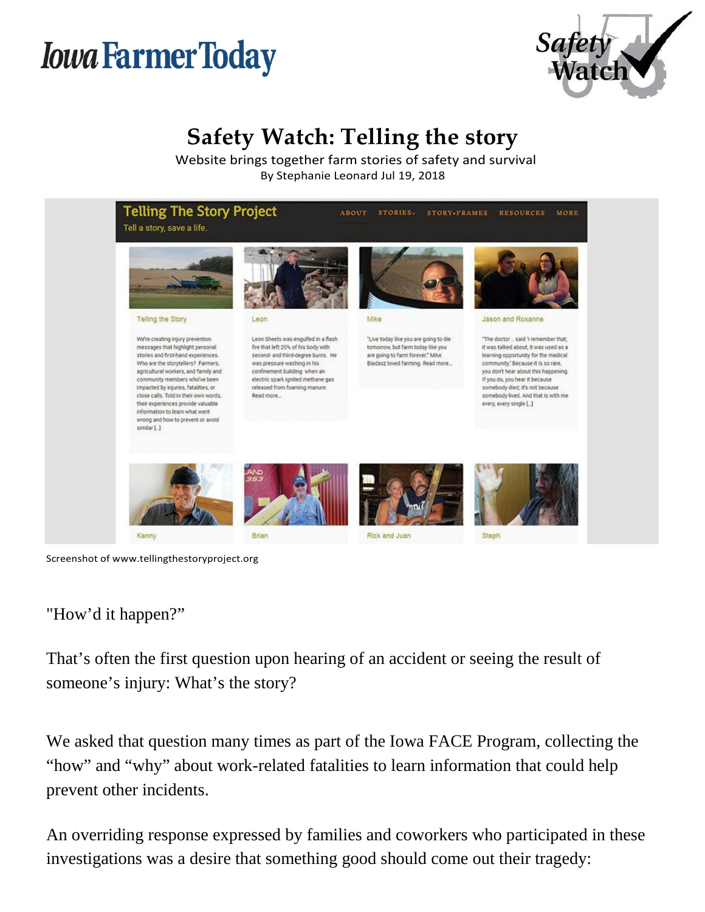# *Iowa Farmer Today*



## **Safety Watch: Telling the story**

Website brings together farm stories of safety and survival By Stephanie Leonard Jul 19, 2018



Screenshot o[f www.tellingthestoryproject.org](http://www.tellingthestoryproject.org/)

"How'd it happen?"

That's often the first question upon hearing of an accident or seeing the result of someone's injury: What's the story?

We asked that question many times as part of the Iowa FACE Program, collecting the "how" and "why" about work-related fatalities to learn information that could help prevent other incidents.

An overriding response expressed by families and coworkers who participated in these investigations was a desire that something good should come out their tragedy: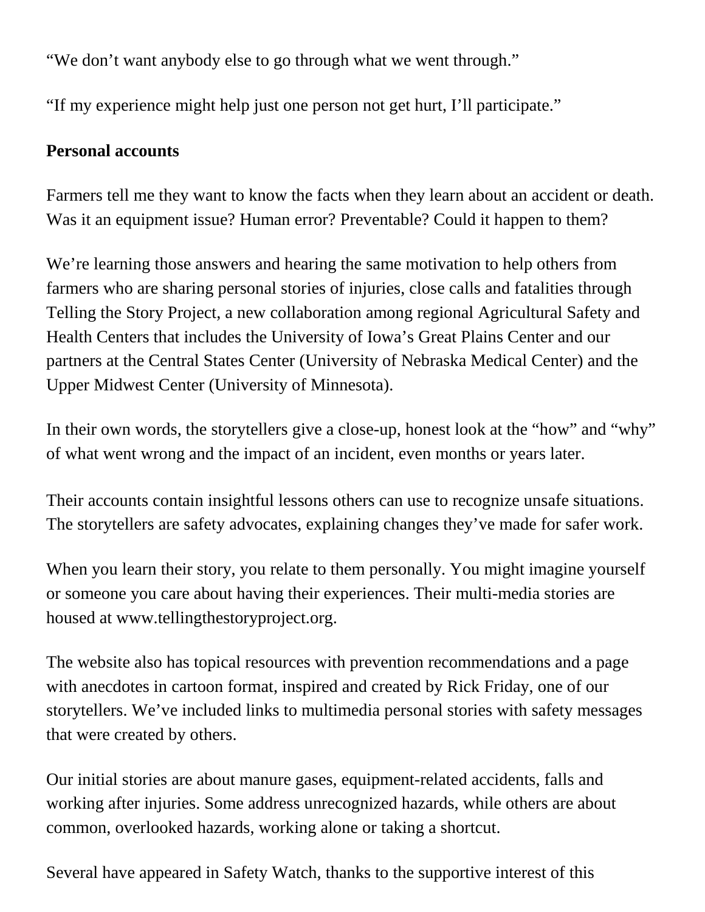"We don't want anybody else to go through what we went through."

"If my experience might help just one person not get hurt, I'll participate."

#### **Personal accounts**

Farmers tell me they want to know the facts when they learn about an accident or death. Was it an equipment issue? Human error? Preventable? Could it happen to them?

We're learning those answers and hearing the same motivation to help others from farmers who are sharing personal stories of injuries, close calls and fatalities through Telling the Story Project, a new collaboration among regional Agricultural Safety and Health Centers that includes the University of Iowa's Great Plains Center and our partners at the Central States Center (University of Nebraska Medical Center) and the Upper Midwest Center (University of Minnesota).

In their own words, the storytellers give a close-up, honest look at the "how" and "why" of what went wrong and the impact of an incident, even months or years later.

Their accounts contain insightful lessons others can use to recognize unsafe situations. The storytellers are safety advocates, explaining changes they've made for safer work.

When you learn their story, you relate to them personally. You might imagine yourself or someone you care about having their experiences. Their multi-media stories are [housed at www.tellingthestoryproject.org.](http://www.tellingthestoryproject.org/)

The website also has topical resources with prevention recommendations and a page with anecdotes in cartoon format, inspired and created by Rick Friday, one of our storytellers. We've included links to multimedia personal stories with safety messages that were created by others.

Our initial stories are about manure gases, equipment-related accidents, falls and working after injuries. Some address unrecognized hazards, while others are about common, overlooked hazards, working alone or taking a shortcut.

Several have appeared in Safety Watch, thanks to the supportive interest of this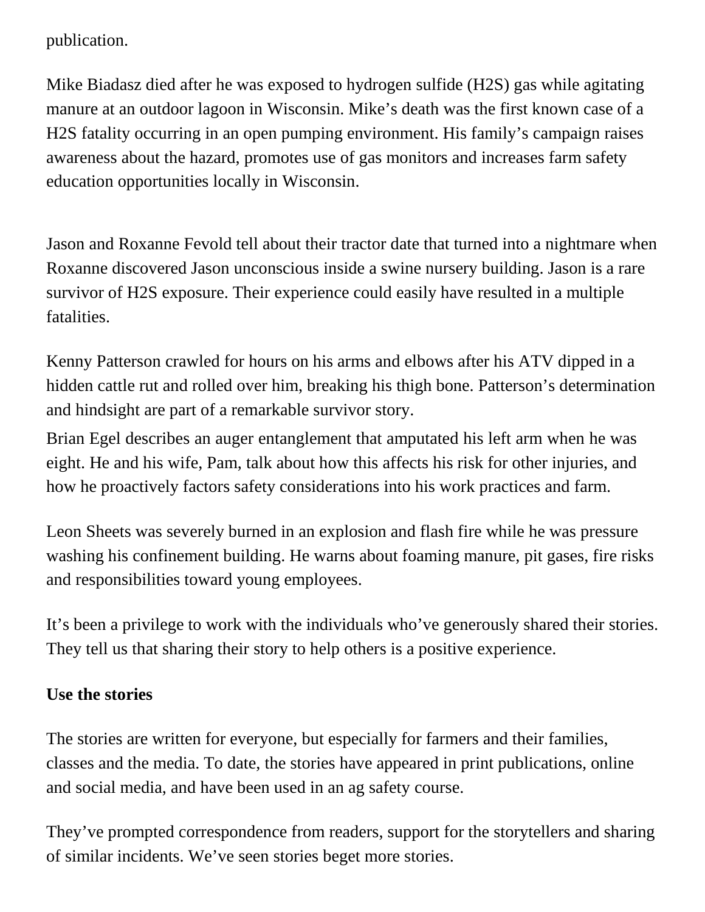publication.

Mike Biadasz died after he was exposed to hydrogen sulfide (H2S) gas while agitating manure at an outdoor lagoon in Wisconsin. Mike's death was the first known case of a H2S fatality occurring in an open pumping environment. His family's campaign raises awareness about the hazard, promotes use of gas monitors and increases farm safety education opportunities locally in Wisconsin.

Jason and Roxanne Fevold tell about their tractor date that turned into a nightmare when Roxanne discovered Jason unconscious inside a swine nursery building. Jason is a rare survivor of H2S exposure. Their experience could easily have resulted in a multiple fatalities.

Kenny Patterson crawled for hours on his arms and elbows after his ATV dipped in a hidden cattle rut and rolled over him, breaking his thigh bone. Patterson's determination and hindsight are part of a remarkable survivor story.

Brian Egel describes an auger entanglement that amputated his left arm when he was eight. He and his wife, Pam, talk about how this affects his risk for other injuries, and how he proactively factors safety considerations into his work practices and farm.

Leon Sheets was severely burned in an explosion and flash fire while he was pressure washing his confinement building. He warns about foaming manure, pit gases, fire risks and responsibilities toward young employees.

It's been a privilege to work with the individuals who've generously shared their stories. They tell us that sharing their story to help others is a positive experience.

### **Use the stories**

The stories are written for everyone, but especially for farmers and their families, classes and the media. To date, the stories have appeared in print publications, online and social media, and have been used in an ag safety course.

They've prompted correspondence from readers, support for the storytellers and sharing of similar incidents. We've seen stories beget more stories.